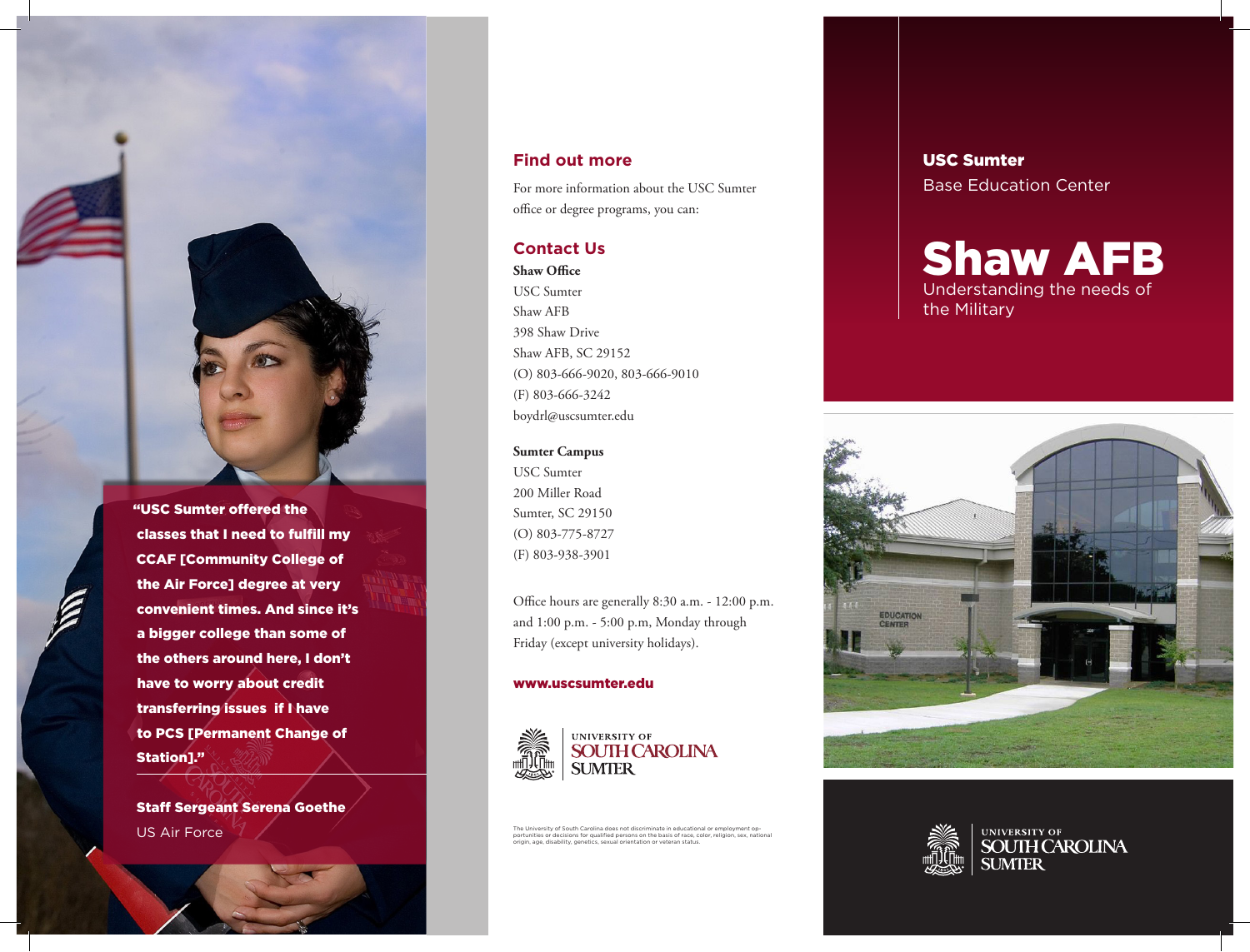

"USC Sumter offered the classes that I need to fulfill my CCAF [Community College of the Air Force] degree at very convenient times. And since it's a bigger college than some of the others around here, I don't have to worry about credit transferring issues if I have to PCS [Permanent Change of Station]."

Staff Sergeant Serena Goethe

# **Find out more**

For more information about the USC Sumter office or degree programs, you can:

# **Contact Us**

**Shaw Office** USC Sumter Shaw AFB 398 Shaw Drive Shaw AFB, SC 29152 (O) 803-666-9020, 803-666-9010 (F) 803-666-3242 boydrl@uscsumter.edu

#### **Sumter Campus**

USC Sumter 200 Miller Road Sumter, SC 29150 (O) 803-775-8727 (F) 803-938-3901

Office hours are generally 8:30 a.m. - 12:00 p.m. and 1:00 p.m. - 5:00 p.m, Monday through Friday (except university holidays).

#### www.uscsumter.edu



 $\mathsf{US Air Force}$  . The University of South Carolina does not discriminate in educational or employment operations of  $\mathsf{SUSLMN}$ 

# USC Sumter Base Education Center

# Shaw AFB Understanding the needs of the Military